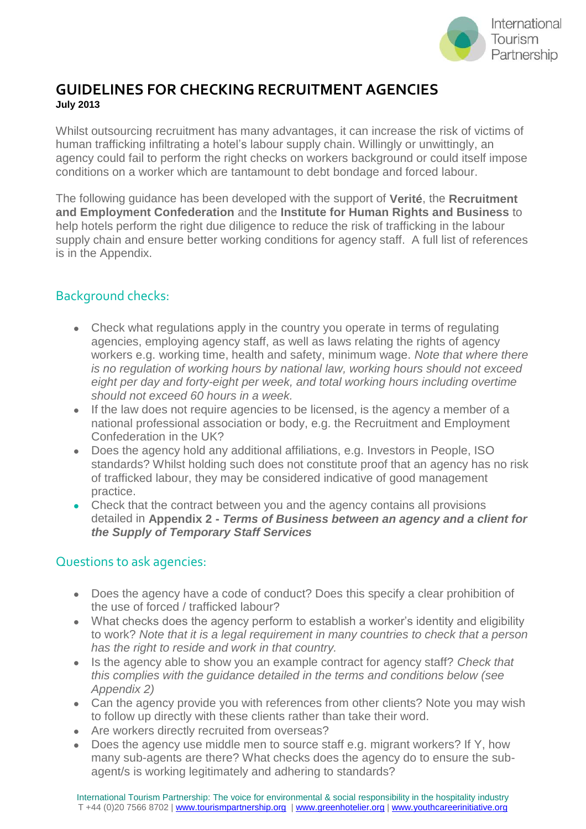

## **GUIDELINES FOR CHECKING RECRUITMENT AGENCIES July 2013**

Whilst outsourcing recruitment has many advantages, it can increase the risk of victims of human trafficking infiltrating a hotel's labour supply chain. Willingly or unwittingly, an agency could fail to perform the right checks on workers background or could itself impose conditions on a worker which are tantamount to debt bondage and forced labour.

The following guidance has been developed with the support of **Verité**, the **Recruitment and Employment Confederation** and the **Institute for Human Rights and Business** to help hotels perform the right due diligence to reduce the risk of trafficking in the labour supply chain and ensure better working conditions for agency staff. A full list of references is in the Appendix.

## Background checks:

- Check what regulations apply in the country you operate in terms of regulating agencies, employing agency staff, as well as laws relating the rights of agency workers e.g. working time, health and safety, minimum wage. *Note that where there is no regulation of working hours by national law, working hours should not exceed*  eight per day and forty-eight per week, and total working hours including overtime *should not exceed 60 hours in a week.*
- If the law does not require agencies to be licensed, is the agency a member of a national professional association or body, e.g. the Recruitment and Employment Confederation in the UK?
- Does the agency hold any additional affiliations, e.g. Investors in People, ISO standards? Whilst holding such does not constitute proof that an agency has no risk of trafficked labour, they may be considered indicative of good management practice.
- Check that the contract between you and the agency contains all provisions detailed in **Appendix 2 -** *Terms of Business between an agency and a client for the Supply of Temporary Staff Services*

### Questions to ask agencies:

- Does the agency have a code of conduct? Does this specify a clear prohibition of the use of forced / trafficked labour?
- What checks does the agency perform to establish a worker's identity and eligibility to work? *Note that it is a legal requirement in many countries to check that a person has the right to reside and work in that country.*
- Is the agency able to show you an example contract for agency staff? *Check that this complies with the guidance detailed in the terms and conditions below (see Appendix 2)*
- Can the agency provide you with references from other clients? Note you may wish to follow up directly with these clients rather than take their word.
- Are workers directly recruited from overseas?
- Does the agency use middle men to source staff e.g. migrant workers? If Y, how many sub-agents are there? What checks does the agency do to ensure the subagent/s is working legitimately and adhering to standards?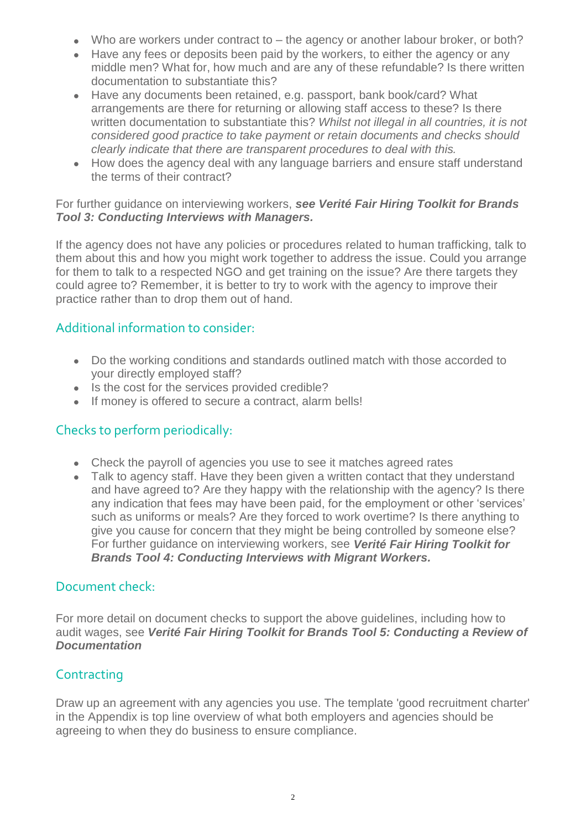- Who are workers under contract to the agency or another labour broker, or both?
- Have any fees or deposits been paid by the workers, to either the agency or any middle men? What for, how much and are any of these refundable? Is there written documentation to substantiate this?
- Have any documents been retained, e.g. passport, bank book/card? What arrangements are there for returning or allowing staff access to these? Is there written documentation to substantiate this? *Whilst not illegal in all countries, it is not considered good practice to take payment or retain documents and checks should clearly indicate that there are transparent procedures to deal with this.*
- How does the agency deal with any language barriers and ensure staff understand the terms of their contract?

#### For further guidance on interviewing workers, *see Verité Fair Hiring Toolkit for Brands Tool 3: Conducting Interviews with Managers.*

If the agency does not have any policies or procedures related to human trafficking, talk to them about this and how you might work together to address the issue. Could you arrange for them to talk to a respected NGO and get training on the issue? Are there targets they could agree to? Remember, it is better to try to work with the agency to improve their practice rather than to drop them out of hand.

### Additional information to consider:

- Do the working conditions and standards outlined match with those accorded to your directly employed staff?
- Is the cost for the services provided credible?
- If money is offered to secure a contract, alarm bells!

### Checks to perform periodically:

- Check the payroll of agencies you use to see it matches agreed rates
- Talk to agency staff. Have they been given a written contact that they understand and have agreed to? Are they happy with the relationship with the agency? Is there any indication that fees may have been paid, for the employment or other 'services' such as uniforms or meals? Are they forced to work overtime? Is there anything to give you cause for concern that they might be being controlled by someone else? For further guidance on interviewing workers, see *Verité Fair Hiring Toolkit for Brands Tool 4: Conducting Interviews with Migrant Workers.*

#### Document check:

For more detail on document checks to support the above guidelines, including how to audit wages, see *Verité Fair Hiring Toolkit for Brands Tool 5: Conducting a Review of Documentation*

### **Contracting**

Draw up an agreement with any agencies you use. The template 'good recruitment charter' in the Appendix is top line overview of what both employers and agencies should be agreeing to when they do business to ensure compliance.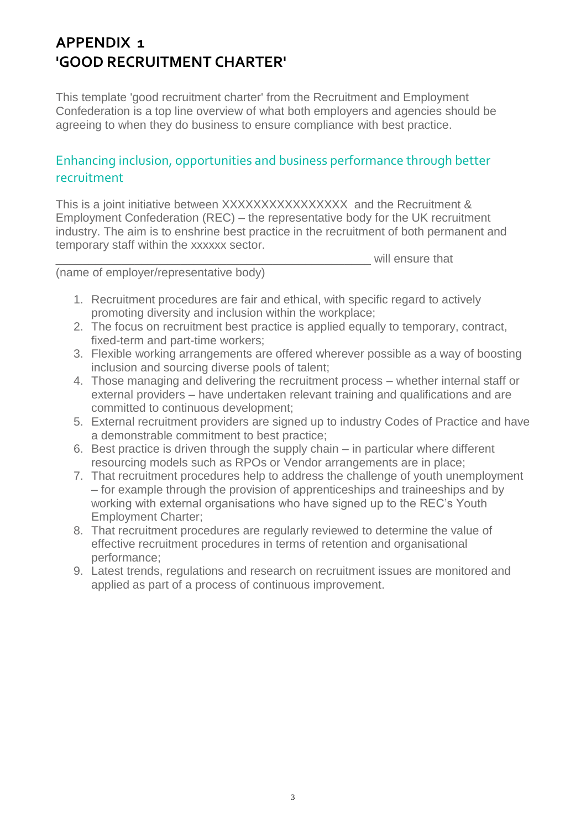# **APPENDIX 1 'GOOD RECRUITMENT CHARTER'**

This template 'good recruitment charter' from the Recruitment and Employment Confederation is a top line overview of what both employers and agencies should be agreeing to when they do business to ensure compliance with best practice.

## Enhancing inclusion, opportunities and business performance through better recruitment

This is a joint initiative between XXXXXXXXXXXXXXXX and the Recruitment & Employment Confederation (REC) – the representative body for the UK recruitment industry. The aim is to enshrine best practice in the recruitment of both permanent and temporary staff within the xxxxxx sector.

(name of employer/representative body)

- 1. Recruitment procedures are fair and ethical, with specific regard to actively promoting diversity and inclusion within the workplace;
- 2. The focus on recruitment best practice is applied equally to temporary, contract, fixed-term and part-time workers;
- 3. Flexible working arrangements are offered wherever possible as a way of boosting inclusion and sourcing diverse pools of talent;

will ensure that

- 4. Those managing and delivering the recruitment process whether internal staff or external providers – have undertaken relevant training and qualifications and are committed to continuous development;
- 5. External recruitment providers are signed up to industry Codes of Practice and have a demonstrable commitment to best practice;
- 6. Best practice is driven through the supply chain in particular where different resourcing models such as RPOs or Vendor arrangements are in place;
- 7. That recruitment procedures help to address the challenge of youth unemployment – for example through the provision of apprenticeships and traineeships and by working with external organisations who have signed up to the REC's Youth Employment Charter;
- 8. That recruitment procedures are regularly reviewed to determine the value of effective recruitment procedures in terms of retention and organisational performance;
- 9. Latest trends, regulations and research on recruitment issues are monitored and applied as part of a process of continuous improvement.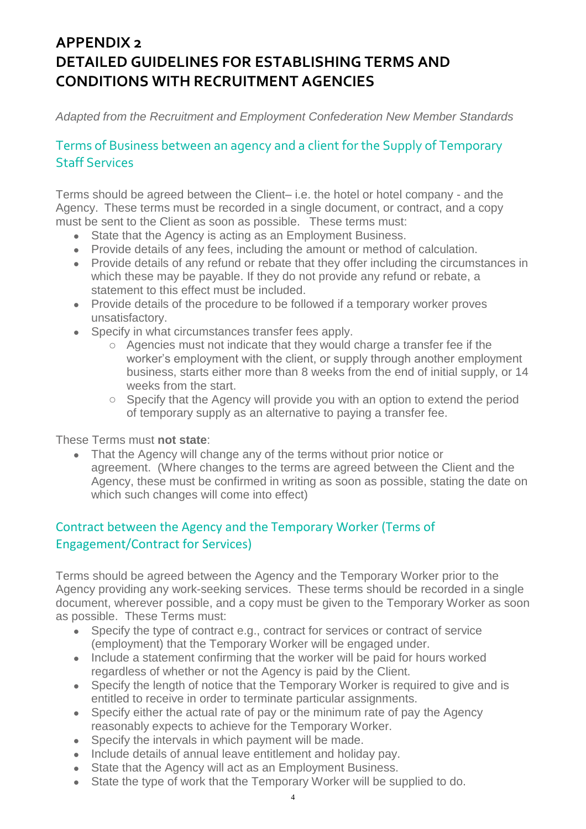# **APPENDIX 2 DETAILED GUIDELINES FOR ESTABLISHING TERMS AND CONDITIONS WITH RECRUITMENT AGENCIES**

*Adapted from the Recruitment and Employment Confederation New Member Standards*

## Terms of Business between an agency and a client for the Supply of Temporary Staff Services

Terms should be agreed between the Client– i.e. the hotel or hotel company - and the Agency. These terms must be recorded in a single document, or contract, and a copy must be sent to the Client as soon as possible. These terms must:

- State that the Agency is acting as an Employment Business.
- Provide details of any fees, including the amount or method of calculation.
- Provide details of any refund or rebate that they offer including the circumstances in which these may be payable. If they do not provide any refund or rebate, a statement to this effect must be included.
- Provide details of the procedure to be followed if a temporary worker proves unsatisfactory.
- Specify in what circumstances transfer fees apply.
	- o Agencies must not indicate that they would charge a transfer fee if the worker's employment with the client, or supply through another employment business, starts either more than 8 weeks from the end of initial supply, or 14 weeks from the start.
	- o Specify that the Agency will provide you with an option to extend the period of temporary supply as an alternative to paying a transfer fee.

These Terms must **not state**:

• That the Agency will change any of the terms without prior notice or agreement. (Where changes to the terms are agreed between the Client and the Agency, these must be confirmed in writing as soon as possible, stating the date on which such changes will come into effect)

## Contract between the Agency and the Temporary Worker (Terms of Engagement/Contract for Services)

Terms should be agreed between the Agency and the Temporary Worker prior to the Agency providing any work-seeking services. These terms should be recorded in a single document, wherever possible, and a copy must be given to the Temporary Worker as soon as possible. These Terms must:

- Specify the type of contract e.g., contract for services or contract of service (employment) that the Temporary Worker will be engaged under.
- Include a statement confirming that the worker will be paid for hours worked regardless of whether or not the Agency is paid by the Client.
- Specify the length of notice that the Temporary Worker is required to give and is entitled to receive in order to terminate particular assignments.
- Specify either the actual rate of pay or the minimum rate of pay the Agency reasonably expects to achieve for the Temporary Worker.
- Specify the intervals in which payment will be made.
- Include details of annual leave entitlement and holiday pay.
- State that the Agency will act as an Employment Business.
- State the type of work that the Temporary Worker will be supplied to do.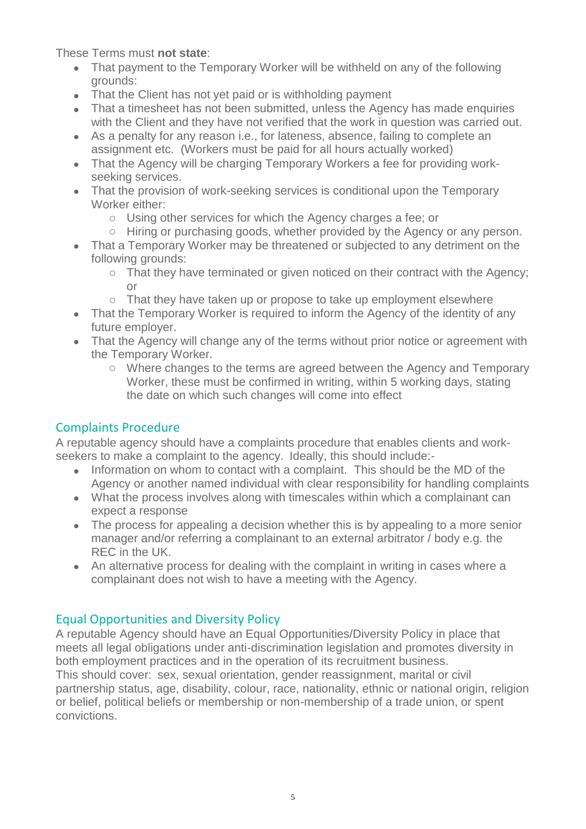These Terms must **not state**:

- That payment to the Temporary Worker will be withheld on any of the following grounds:
- That the Client has not yet paid or is withholding payment
- That a timesheet has not been submitted, unless the Agency has made enquiries with the Client and they have not verified that the work in question was carried out.
- As a penalty for any reason i.e., for lateness, absence, failing to complete an assignment etc. (Workers must be paid for all hours actually worked)
- That the Agency will be charging Temporary Workers a fee for providing workseeking services.
- That the provision of work-seeking services is conditional upon the Temporary Worker either:
	- o Using other services for which the Agency charges a fee; or
	- o Hiring or purchasing goods, whether provided by the Agency or any person.
- That a Temporary Worker may be threatened or subjected to any detriment on the following grounds:
	- o That they have terminated or given noticed on their contract with the Agency; or
	- o That they have taken up or propose to take up employment elsewhere
- That the Temporary Worker is required to inform the Agency of the identity of any future employer.
- That the Agency will change any of the terms without prior notice or agreement with the Temporary Worker.
	- o Where changes to the terms are agreed between the Agency and Temporary Worker, these must be confirmed in writing, within 5 working days, stating the date on which such changes will come into effect

## Complaints Procedure

A reputable agency should have a complaints procedure that enables clients and workseekers to make a complaint to the agency. Ideally, this should include:-

- Information on whom to contact with a complaint. This should be the MD of the Agency or another named individual with clear responsibility for handling complaints
- What the process involves along with timescales within which a complainant can expect a response
- The process for appealing a decision whether this is by appealing to a more senior manager and/or referring a complainant to an external arbitrator / body e.g. the REC in the UK.
- An alternative process for dealing with the complaint in writing in cases where a complainant does not wish to have a meeting with the Agency.

### Equal Opportunities and Diversity Policy

A reputable Agency should have an Equal Opportunities/Diversity Policy in place that meets all legal obligations under anti-discrimination legislation and promotes diversity in both employment practices and in the operation of its recruitment business. This should cover: sex, sexual orientation, gender reassignment, marital or civil partnership status, age, disability, colour, race, nationality, ethnic or national origin, religion or belief, political beliefs or membership or non-membership of a trade union, or spent

convictions.